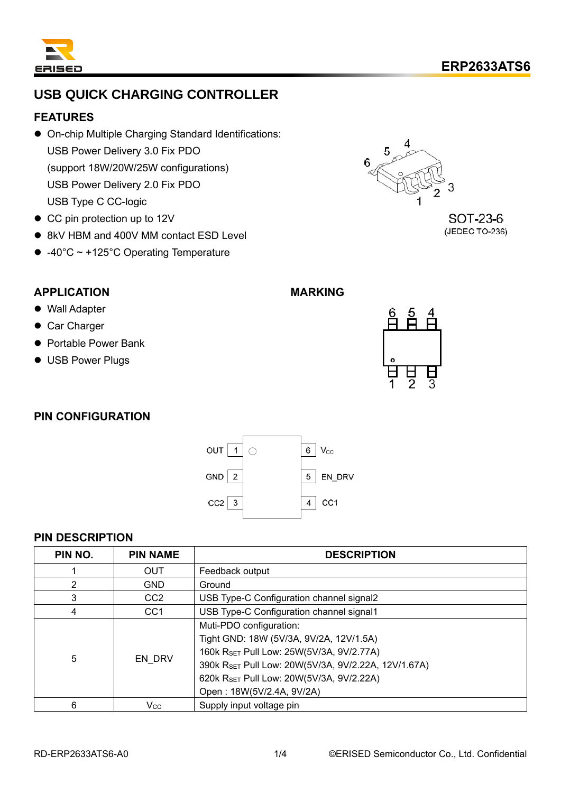

# **USB QUICK CHARGING CONTROLLER**

#### **FEATURES**

- ⚫ On-chip Multiple Charging Standard Identifications: USB Power Delivery 3.0 Fix PDO (support 18W/20W/25W configurations) USB Power Delivery 2.0 Fix PDO USB Type C CC-logic
- CC pin protection up to 12V
- 8kV HBM and 400V MM contact ESD Level
- ⚫ -40°C ~ +125°C Operating Temperature



SOT-23-6 (JEDEC TO-236)

### **APPLICATION**

- Wall Adapter
- Car Charger
- Portable Power Bank
- USB Power Plugs

## **MARKING**



#### **PIN CONFIGURATION**



#### **PIN DESCRIPTION**

| PIN NO.        | <b>PIN NAME</b> | <b>DESCRIPTION</b>                                                                                                                                                                                                                             |  |  |
|----------------|-----------------|------------------------------------------------------------------------------------------------------------------------------------------------------------------------------------------------------------------------------------------------|--|--|
|                | <b>OUT</b>      | Feedback output                                                                                                                                                                                                                                |  |  |
| $\overline{2}$ | <b>GND</b>      | Ground                                                                                                                                                                                                                                         |  |  |
| 3              | CC <sub>2</sub> | USB Type-C Configuration channel signal2                                                                                                                                                                                                       |  |  |
| 4              | CC <sub>1</sub> | USB Type-C Configuration channel signal1                                                                                                                                                                                                       |  |  |
| 5              | EN DRV          | Muti-PDO configuration:<br>Tight GND: 18W (5V/3A, 9V/2A, 12V/1.5A)<br>160k RSET Pull Low: 25W(5V/3A, 9V/2.77A)<br>390k RSET Pull Low: 20W(5V/3A, 9V/2.22A, 12V/1.67A)<br>620k RSET Pull Low: 20W(5V/3A, 9V/2.22A)<br>Open: 18W(5V/2.4A, 9V/2A) |  |  |
| 6              | <b>Vcc</b>      | Supply input voltage pin                                                                                                                                                                                                                       |  |  |